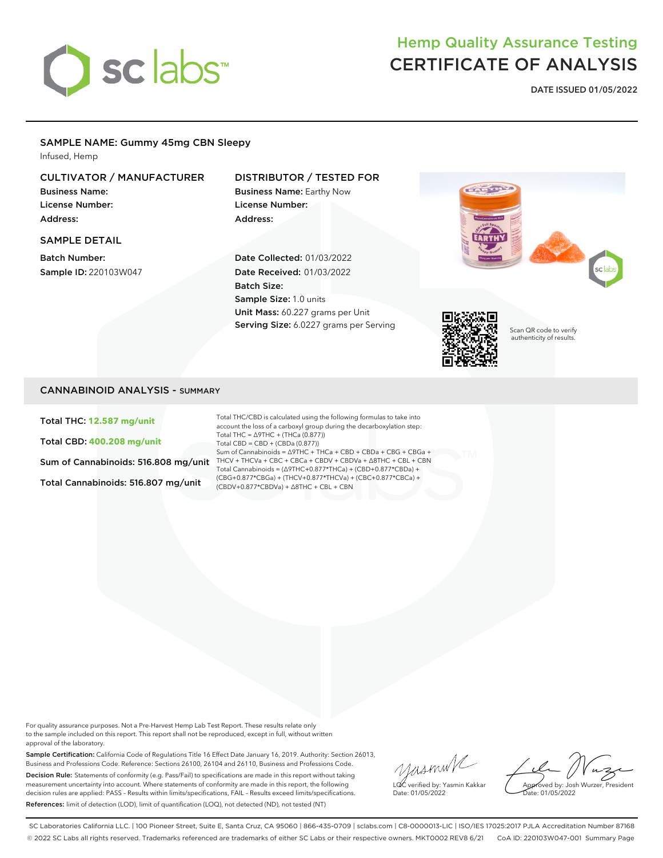# sclabs

## Hemp Quality Assurance Testing CERTIFICATE OF ANALYSIS

**DATE ISSUED 01/05/2022**

#### SAMPLE NAME: Gummy 45mg CBN Sleepy

Infused, Hemp

#### CULTIVATOR / MANUFACTURER

Business Name: License Number: Address:

#### SAMPLE DETAIL

Batch Number: Sample ID: 220103W047

#### DISTRIBUTOR / TESTED FOR

Business Name: Earthy Now License Number: Address:

Date Collected: 01/03/2022 Date Received: 01/03/2022 Batch Size: Sample Size: 1.0 units Unit Mass: 60.227 grams per Unit Serving Size: 6.0227 grams per Serving





Scan QR code to verify authenticity of results.

#### CANNABINOID ANALYSIS - SUMMARY

Total THC: **12.587 mg/unit**

Total CBD: **400.208 mg/unit**

Total Cannabinoids: 516.807 mg/unit

Sum of Cannabinoids: 516.808 mg/unit THCV + THCVa + CBC + CBCa + CBDV + CBDVa + ∆8THC + CBL + CBN Total THC/CBD is calculated using the following formulas to take into account the loss of a carboxyl group during the decarboxylation step: Total THC = ∆9THC + (THCa (0.877)) Total CBD = CBD + (CBDa (0.877)) Sum of Cannabinoids = ∆9THC + THCa + CBD + CBDa + CBG + CBGa + Total Cannabinoids = (∆9THC+0.877\*THCa) + (CBD+0.877\*CBDa) + (CBG+0.877\*CBGa) + (THCV+0.877\*THCVa) + (CBC+0.877\*CBCa) + (CBDV+0.877\*CBDVa) + ∆8THC + CBL + CBN

For quality assurance purposes. Not a Pre-Harvest Hemp Lab Test Report. These results relate only to the sample included on this report. This report shall not be reproduced, except in full, without written approval of the laboratory.

Sample Certification: California Code of Regulations Title 16 Effect Date January 16, 2019. Authority: Section 26013, Business and Professions Code. Reference: Sections 26100, 26104 and 26110, Business and Professions Code. Decision Rule: Statements of conformity (e.g. Pass/Fail) to specifications are made in this report without taking measurement uncertainty into account. Where statements of conformity are made in this report, the following decision rules are applied: PASS – Results within limits/specifications, FAIL – Results exceed limits/specifications. References: limit of detection (LOD), limit of quantification (LOQ), not detected (ND), not tested (NT)

yusmin/ LQC verified by: Yasmin Kakkar Date: 01/05/2022

Approved by: Josh Wurzer, President ate: 01/05/2022

SC Laboratories California LLC. | 100 Pioneer Street, Suite E, Santa Cruz, CA 95060 | 866-435-0709 | sclabs.com | C8-0000013-LIC | ISO/IES 17025:2017 PJLA Accreditation Number 87168 © 2022 SC Labs all rights reserved. Trademarks referenced are trademarks of either SC Labs or their respective owners. MKT0002 REV8 6/21 CoA ID: 220103W047-001 Summary Page